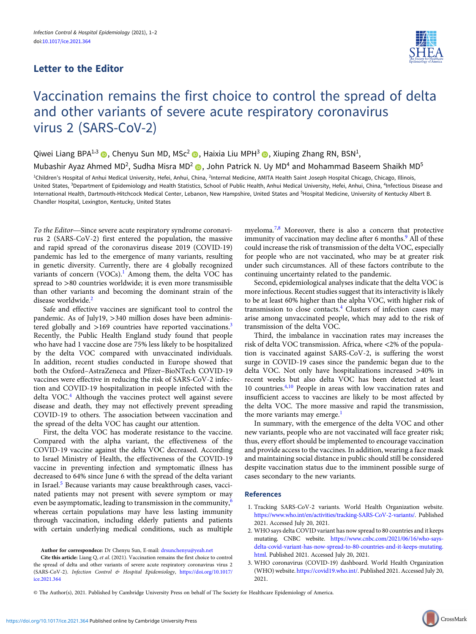## Letter to the Editor



## Vaccination remains the first choice to control the spread of delta and other variants of severe acute respiratory coronavirus virus 2 (SARS-CoV-2)

Qiwei Liang BPA<sup>1,3</sup> (D. Chenyu Sun MD, MSc<sup>2</sup> (D. Haixia Liu MPH<sup>3</sup> (D. Xiuping Zhang RN, BSN<sup>1</sup>,

Mubashir Ayaz Ahmed MD<sup>2</sup>, Sudha Misra MD<sup>2</sup> (b), John Patrick N. Uy MD<sup>4</sup> and Mohammad Baseem Shaikh MD<sup>5</sup>

<sup>1</sup>Children's Hospital of Anhui Medical University, Hefei, Anhui, China, <sup>2</sup>Internal Medicine, AMITA Health Saint Joseph Hospital Chicago, Chicago, Illinois, United States, <sup>3</sup>Department of Epidemiology and Health Statistics, School of Public Health, Anhui Medical University, Hefei, Anhui, China, <sup>4</sup>Infectious Disease and International Health, Dartmouth-Hitchcock Medical Center, Lebanon, New Hampshire, United States and <sup>5</sup>Hospital Medicine, University of Kentucky Albert B. Chandler Hospital, Lexington, Kentucky, United States

To the Editor—Since severe acute respiratory syndrome coronavirus 2 (SARS-CoV-2) first entered the population, the massive and rapid spread of the coronavirus disease 2019 (COVID-19) pandemic has led to the emergence of many variants, resulting in genetic diversity. Currently, there are 4 globally recognized variants of concern  $(VOCs).<sup>1</sup>$  Among them, the delta VOC has spread to >80 countries worldwide; it is even more transmissible than other variants and becoming the dominant strain of the disease worldwide.<sup>2</sup>

Safe and effective vaccines are significant tool to control the pandemic. As of July19, >340 million doses have been administered globally and  $>169$  countries have reported vaccinations.<sup>3</sup> Recently, the Public Health England study found that people who have had 1 vaccine dose are 75% less likely to be hospitalized by the delta VOC compared with unvaccinated individuals. In addition, recent studies conducted in Europe showed that both the Oxford–AstraZeneca and Pfizer–BioNTech COVID-19 vaccines were effective in reducing the risk of SARS-CoV-2 infection and COVID-19 hospitalization in people infected with the delta VOC.<sup>[4](#page-1-0)</sup> Although the vaccines protect well against severe disease and death, they may not effectively prevent spreading COVID-19 to others. The association between vaccination and the spread of the delta VOC has caught our attention.

First, the delta VOC has moderate resistance to the vaccine. Compared with the alpha variant, the effectiveness of the COVID-19 vaccine against the delta VOC decreased. According to Israel Ministry of Health, the effectiveness of the COVID-19 vaccine in preventing infection and symptomatic illness has decreased to 64% since June 6 with the spread of the delta variant in Israel.<sup>[5](#page-1-0)</sup> Because variants may cause breakthrough cases, vaccinated patients may not present with severe symptom or may even be asymptomatic, leading to transmission in the community, $\frac{6}{5}$  $\frac{6}{5}$  $\frac{6}{5}$ whereas certain populations may have less lasting immunity through vaccination, including elderly patients and patients with certain underlying medical conditions, such as multiple

Author for correspondece: Dr Chenyu Sun, E-mail: [drsunchenyu@yeah.net](mailto:drsunchenyu@yeah.net)

myeloma.[7](#page-1-0),[8](#page-1-0) Moreover, there is also a concern that protective immunity of vaccination may decline after 6 months.<sup>[9](#page-1-0)</sup> All of these could increase the risk of transmission of the delta VOC, especially for people who are not vaccinated, who may be at greater risk under such circumstances. All of these factors contribute to the continuing uncertainty related to the pandemic.

Second, epidemiological analyses indicate that the delta VOC is more infectious. Recent studies suggest that its interactivity is likely to be at least 60% higher than the alpha VOC, with higher risk of transmission to close contacts.[4](#page-1-0) Clusters of infection cases may arise among unvaccinated people, which may add to the risk of transmission of the delta VOC.

Third, the imbalance in vaccination rates may increases the risk of delta VOC transmission. Africa, where <2% of the population is vaccinated against SARS-CoV-2, is suffering the worst surge in COVID-19 cases since the pandemic began due to the delta VOC. Not only have hospitalizations increased >40% in recent weeks but also delta VOC has been detected at least 10 countries[.4](#page-1-0),[10](#page-1-0) People in areas with low vaccination rates and insufficient access to vaccines are likely to be most affected by the delta VOC. The more massive and rapid the transmission, the more variants may emerge.<sup>1</sup>

In summary, with the emergence of the delta VOC and other new variants, people who are not vaccinated will face greater risk; thus, every effort should be implemented to encourage vaccination and provide access to the vaccines. In addition, wearing a face mask and maintaining social distance in public should still be considered despite vaccination status due to the imminent possible surge of cases secondary to the new variants.

## References

- 1. Tracking SARS-CoV-2 variants. World Health Organization website. [https://www.who.int/en/activities/tracking-SARS-CoV-2-variants/.](https://www.who.int/en/activities/tracking-SARS-CoV-2-variants/) Published 2021. Accessed July 20, 2021.
- 2. WHO says delta COVID variant has now spread to 80 countries and it keeps mutating. CNBC website. [https://www.cnbc.com/2021/06/16/who-says](https://www.cnbc.com/2021/06/16/who-says-delta-covid-variant-has-now-spread-to-80-countries-and-it-keeps-mutating.html)[delta-covid-variant-has-now-spread-to-80-countries-and-it-keeps-mutating.](https://www.cnbc.com/2021/06/16/who-says-delta-covid-variant-has-now-spread-to-80-countries-and-it-keeps-mutating.html) [html.](https://www.cnbc.com/2021/06/16/who-says-delta-covid-variant-has-now-spread-to-80-countries-and-it-keeps-mutating.html) Published 2021. Accessed July 20, 2021.
- 3. WHO coronavirus (COVID-19) dashboard. World Health Organization (WHO) website. <https://covid19.who.int/>. Published 2021. Accessed July 20, 2021.

© The Author(s), 2021. Published by Cambridge University Press on behalf of The Society for Healthcare Epidemiology of America.

Cite this article: Liang Q, et al. (2021). Vaccination remains the first choice to control the spread of delta and other variants of severe acute respiratory coronavirus virus 2 (SARS-CoV-2). Infection Control & Hospital Epidemiology, [https://doi.org/10.1017/](https://doi.org/10.1017/ice.2021.364) [ice.2021.364](https://doi.org/10.1017/ice.2021.364)